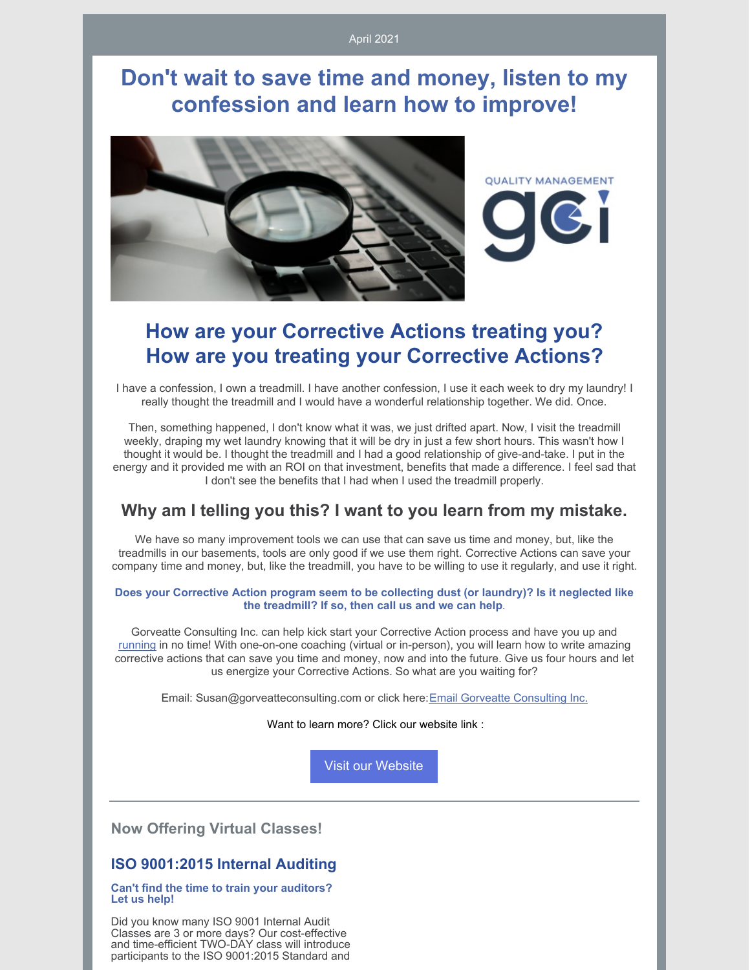# **Don't wait to save time and money, listen to my confession and learn how to improve!**



## **How are your Corrective Actions treating you? How are you treating your Corrective Actions?**

I have a confession, I own a treadmill. I have another confession, I use it each week to dry my laundry! I really thought the treadmill and I would have a wonderful relationship together. We did. Once.

Then, something happened, I don't know what it was, we just drifted apart. Now, I visit the treadmill weekly, draping my wet laundry knowing that it will be dry in just a few short hours. This wasn't how I thought it would be. I thought the treadmill and I had a good relationship of give-and-take. I put in the energy and it provided me with an ROI on that investment, benefits that made a difference. I feel sad that I don't see the benefits that I had when I used the treadmill properly.

## **Why am I telling you this? I want to you learn from my mistake.**

We have so many improvement tools we can use that can save us time and money, but, like the treadmills in our basements, tools are only good if we use them right. Corrective Actions can save your company time and money, but, like the treadmill, you have to be willing to use it regularly, and use it right.

### **Does your Corrective Action program seem to be collecting dust (or laundry)? Is it neglected like the treadmill? If so, then call us and we can help**.

Gorveatte Consulting Inc. can help kick start your Corrective Action process and have you up and running in no time! With one-on-one coaching (virtual or in-person), you will learn how to write amazing corrective actions that can save you time and money, now and into the future. Give us four hours and let us energize your Corrective Actions. So what are you waiting for?

Email: Susan@gorveatteconsulting.com or click here:Email Gorveatte [Consulting](mailto:susan@gorveatteconsulting.com) Inc.

Want to learn more? Click our website link :

Visit our [Website](http://www.gorveatteconsulting.com)

**Now Offering Virtual Classes!**

### **ISO 9001:2015 Internal Auditing**

#### **Can't find the time to train your auditors? Let us help!**

Did you know many ISO 9001 Internal Audit Classes are 3 or more days? Our cost-effective and time-efficient TWO-DAY class will introduce participants to the ISO 9001:2015 Standard and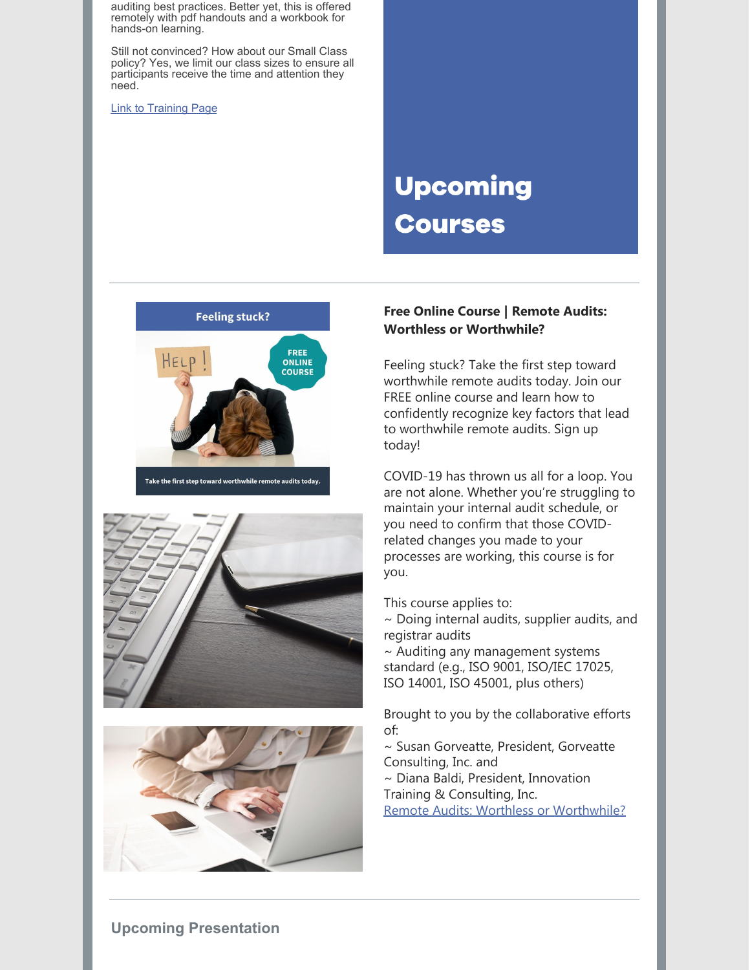auditing best practices. Better yet, this is offered remotely with pdf handouts and a workbook for hands-on learning.

Still not convinced? How about our Small Class policy? Yes, we limit our class sizes to ensure all participants receive the time and attention they need.

Link to [Training](https://www.gorveatteconsulting.com/training.html) Page

# **Upcoming Courses**







### **Free Online Course | Remote Audits: Worthless or Worthwhile?**

Feeling stuck? Take the first step toward worthwhile remote audits today. Join our FREE online course and learn how to confidently recognize key factors that lead to worthwhile remote audits. Sign up today!

COVID-19 has thrown us all for a loop. You are not alone. Whether you're struggling to maintain your internal audit schedule, or you need to confirm that those COVIDrelated changes you made to your processes are working, this course is for you.

This course applies to:

~ Doing internal audits, supplier audits, and registrar audits

~ Auditing any management systems standard (e.g., ISO 9001, ISO/IEC 17025, ISO 14001, ISO 45001, plus others)

Brought to you by the collaborative efforts of:

~ Susan Gorveatte, President, Gorveatte Consulting, Inc. and

~ Diana Baldi, President, Innovation Training & Consulting, Inc.

Remote Audits: Worthless or [Worthwhile?](https://www.innovationtrainer.com/a/45725/eSzfFR6p)